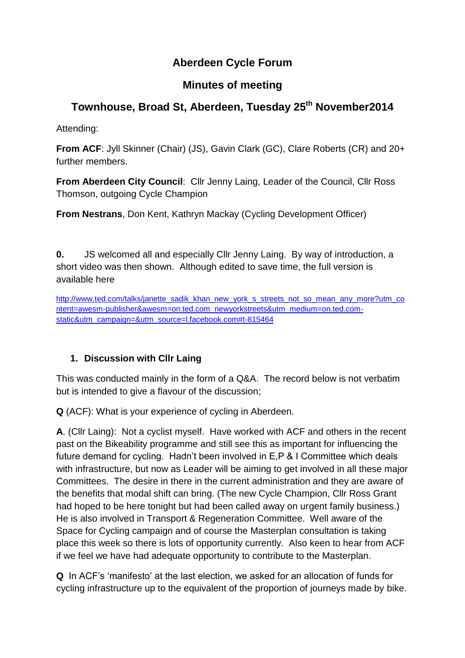# **Aberdeen Cycle Forum**

# **Minutes of meeting**

# **Townhouse, Broad St, Aberdeen, Tuesday 25 th November2014**

Attending:

**From ACF**: Jyll Skinner (Chair) (JS), Gavin Clark (GC), Clare Roberts (CR) and 20+ further members.

**From Aberdeen City Council**: Cllr Jenny Laing, Leader of the Council, Cllr Ross Thomson, outgoing Cycle Champion

**From Nestrans**, Don Kent, Kathryn Mackay (Cycling Development Officer)

**0.** JS welcomed all and especially Cllr Jenny Laing. By way of introduction, a short video was then shown. Although edited to save time, the full version is available here

[http://www.ted.com/talks/janette\\_sadik\\_khan\\_new\\_york\\_s\\_streets\\_not\\_so\\_mean\\_any\\_more?utm\\_co](http://www.ted.com/talks/janette_sadik_khan_new_york_s_streets_not_so_mean_any_more?utm_content=awesm-publisher&awesm=on.ted.com_newyorkstreets&utm_medium=on.ted.com-static&utm_campaign=&utm_source=l.facebook.com#t-815464) [ntent=awesm-publisher&awesm=on.ted.com\\_newyorkstreets&utm\\_medium=on.ted.com](http://www.ted.com/talks/janette_sadik_khan_new_york_s_streets_not_so_mean_any_more?utm_content=awesm-publisher&awesm=on.ted.com_newyorkstreets&utm_medium=on.ted.com-static&utm_campaign=&utm_source=l.facebook.com#t-815464)[static&utm\\_campaign=&utm\\_source=l.facebook.com#t-815464](http://www.ted.com/talks/janette_sadik_khan_new_york_s_streets_not_so_mean_any_more?utm_content=awesm-publisher&awesm=on.ted.com_newyorkstreets&utm_medium=on.ted.com-static&utm_campaign=&utm_source=l.facebook.com#t-815464)

## **1. Discussion with Cllr Laing**

This was conducted mainly in the form of a Q&A. The record below is not verbatim but is intended to give a flavour of the discussion;

**Q** (ACF): What is your experience of cycling in Aberdeen.

**A**. (Cllr Laing): Not a cyclist myself. Have worked with ACF and others in the recent past on the Bikeability programme and still see this as important for influencing the future demand for cycling. Hadn't been involved in E,P & I Committee which deals with infrastructure, but now as Leader will be aiming to get involved in all these major Committees. The desire in there in the current administration and they are aware of the benefits that modal shift can bring. (The new Cycle Champion, Cllr Ross Grant had hoped to be here tonight but had been called away on urgent family business.) He is also involved in Transport & Regeneration Committee. Well aware of the Space for Cycling campaign and of course the Masterplan consultation is taking place this week so there is lots of opportunity currently. Also keen to hear from ACF if we feel we have had adequate opportunity to contribute to the Masterplan.

**Q** In ACF's 'manifesto' at the last election, we asked for an allocation of funds for cycling infrastructure up to the equivalent of the proportion of journeys made by bike.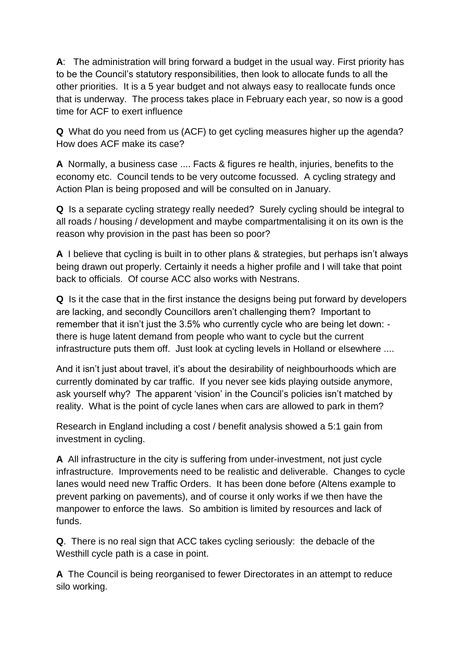**A**: The administration will bring forward a budget in the usual way. First priority has to be the Council's statutory responsibilities, then look to allocate funds to all the other priorities. It is a 5 year budget and not always easy to reallocate funds once that is underway. The process takes place in February each year, so now is a good time for ACF to exert influence

**Q** What do you need from us (ACF) to get cycling measures higher up the agenda? How does ACF make its case?

**A** Normally, a business case .... Facts & figures re health, injuries, benefits to the economy etc. Council tends to be very outcome focussed. A cycling strategy and Action Plan is being proposed and will be consulted on in January.

**Q** Is a separate cycling strategy really needed? Surely cycling should be integral to all roads / housing / development and maybe compartmentalising it on its own is the reason why provision in the past has been so poor?

**A** I believe that cycling is built in to other plans & strategies, but perhaps isn't always being drawn out properly. Certainly it needs a higher profile and I will take that point back to officials. Of course ACC also works with Nestrans.

**Q** Is it the case that in the first instance the designs being put forward by developers are lacking, and secondly Councillors aren't challenging them? Important to remember that it isn't just the 3.5% who currently cycle who are being let down: there is huge latent demand from people who want to cycle but the current infrastructure puts them off. Just look at cycling levels in Holland or elsewhere ....

And it isn't just about travel, it's about the desirability of neighbourhoods which are currently dominated by car traffic. If you never see kids playing outside anymore, ask yourself why? The apparent 'vision' in the Council's policies isn't matched by reality. What is the point of cycle lanes when cars are allowed to park in them?

Research in England including a cost / benefit analysis showed a 5:1 gain from investment in cycling.

**A** All infrastructure in the city is suffering from under-investment, not just cycle infrastructure. Improvements need to be realistic and deliverable. Changes to cycle lanes would need new Traffic Orders. It has been done before (Altens example to prevent parking on pavements), and of course it only works if we then have the manpower to enforce the laws. So ambition is limited by resources and lack of funds.

**Q**. There is no real sign that ACC takes cycling seriously: the debacle of the Westhill cycle path is a case in point.

**A** The Council is being reorganised to fewer Directorates in an attempt to reduce silo working.